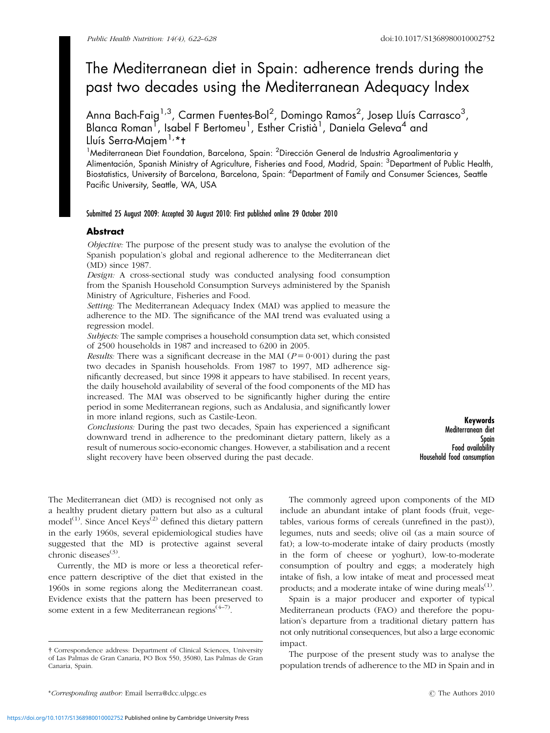# The Mediterranean diet in Spain: adherence trends during the past two decades using the Mediterranean Adequacy Index

Anna Bach-Faig $^{1,3}$ , Carmen Fuentes-Bol $^2$ , Domingo Ramos $^2$ , Josep Lluís Carrasco $^3$ , Blanca Roman<sup>T</sup>, Isabel F Bertomeu<sup>1</sup>, Esther Cristia<sup>1</sup>, Daniela Geleva<sup>4</sup> and Lluís Serra-Majem<sup>1,\*</sup>t

<sup>1</sup>Mediterranean Diet Foundation, Barcelona, Spain: <sup>2</sup>Dirección General de Industria Agroalimentaria y Alimentación, Spanish Ministry of Agriculture, Fisheries and Food, Madrid, Spain: <sup>3</sup>Department of Public Health, Biostatistics, University of Barcelona, Barcelona, Spain: <sup>4</sup>Department of Family and Consumer Sciences, Seattle Pacific University, Seattle, WA, USA

## Submitted 25 August 2009: Accepted 30 August 2010: First published online 29 October 2010

## Abstract

Objective: The purpose of the present study was to analyse the evolution of the Spanish population's global and regional adherence to the Mediterranean diet (MD) since 1987.

Design: A cross-sectional study was conducted analysing food consumption from the Spanish Household Consumption Surveys administered by the Spanish Ministry of Agriculture, Fisheries and Food.

Setting: The Mediterranean Adequacy Index (MAI) was applied to measure the adherence to the MD. The significance of the MAI trend was evaluated using a regression model.

Subjects: The sample comprises a household consumption data set, which consisted of 2500 households in 1987 and increased to 6200 in 2005.

*Results:* There was a significant decrease in the MAI ( $P = 0.001$ ) during the past two decades in Spanish households. From 1987 to 1997, MD adherence significantly decreased, but since 1998 it appears to have stabilised. In recent years, the daily household availability of several of the food components of the MD has increased. The MAI was observed to be significantly higher during the entire period in some Mediterranean regions, such as Andalusia, and significantly lower in more inland regions, such as Castile-Leon.

Conclusions: During the past two decades, Spain has experienced a significant downward trend in adherence to the predominant dietary pattern, likely as a result of numerous socio-economic changes. However, a stabilisation and a recent slight recovery have been observed during the past decade.

Keywords Mediterranean diet Spain Food availability Household food consumption

The Mediterranean diet (MD) is recognised not only as a healthy prudent dietary pattern but also as a cultural model<sup>(1)</sup>. Since Ancel Keys<sup>(2)</sup> defined this dietary pattern in the early 1960s, several epidemiological studies have suggested that the MD is protective against several chronic diseases $(3)$ .

Currently, the MD is more or less a theoretical reference pattern descriptive of the diet that existed in the 1960s in some regions along the Mediterranean coast. Evidence exists that the pattern has been preserved to some extent in a few Mediterranean regions $(4-7)$ .

The commonly agreed upon components of the MD include an abundant intake of plant foods (fruit, vegetables, various forms of cereals (unrefined in the past)), legumes, nuts and seeds; olive oil (as a main source of fat); a low-to-moderate intake of dairy products (mostly in the form of cheese or yoghurt), low-to-moderate consumption of poultry and eggs; a moderately high intake of fish, a low intake of meat and processed meat products; and a moderate intake of wine during meals<sup>(1)</sup>.

Spain is a major producer and exporter of typical Mediterranean products (FAO) and therefore the population's departure from a traditional dietary pattern has not only nutritional consequences, but also a large economic impact.

The purpose of the present study was to analyse the population trends of adherence to the MD in Spain and in

y Correspondence address: Department of Clinical Sciences, University of Las Palmas de Gran Canaria, PO Box 550, 35080, Las Palmas de Gran Canaria, Spain.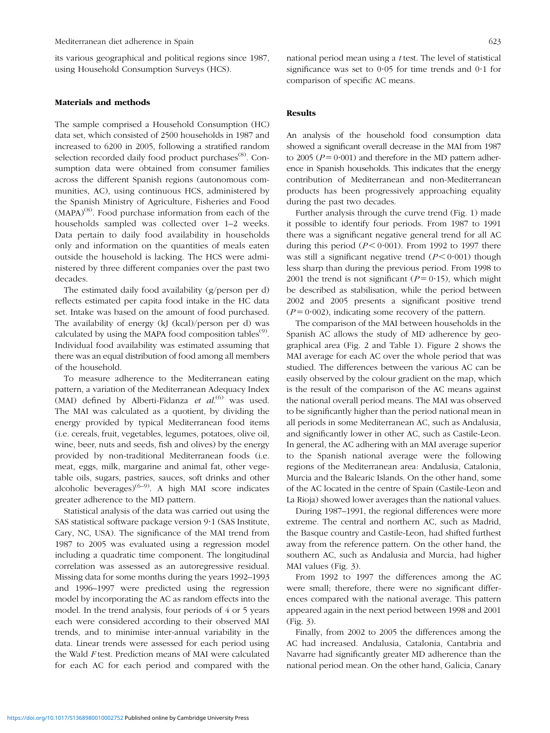its various geographical and political regions since 1987, using Household Consumption Surveys (HCS).

#### Materials and methods

The sample comprised a Household Consumption (HC) data set, which consisted of 2500 households in 1987 and increased to 6200 in 2005, following a stratified random selection recorded daily food product purchases<sup>(8)</sup>. Consumption data were obtained from consumer families across the different Spanish regions (autonomous communities, AC), using continuous HCS, administered by the Spanish Ministry of Agriculture, Fisheries and Food  $(MAPA)^{(8)}$ . Food purchase information from each of the households sampled was collected over 1–2 weeks. Data pertain to daily food availability in households only and information on the quantities of meals eaten outside the household is lacking. The HCS were administered by three different companies over the past two decades.

The estimated daily food availability (g/person per d) reflects estimated per capita food intake in the HC data set. Intake was based on the amount of food purchased. The availability of energy (kJ (kcal)/person per d) was calculated by using the MAPA food composition tables<sup> $(9)$ </sup>. Individual food availability was estimated assuming that there was an equal distribution of food among all members of the household.

To measure adherence to the Mediterranean eating pattern, a variation of the Mediterranean Adequacy Index (MAI) defined by Alberti-Fidanza et  $al$ .<sup>(6)</sup> was used. The MAI was calculated as a quotient, by dividing the energy provided by typical Mediterranean food items (i.e. cereals, fruit, vegetables, legumes, potatoes, olive oil, wine, beer, nuts and seeds, fish and olives) by the energy provided by non-traditional Mediterranean foods (i.e. meat, eggs, milk, margarine and animal fat, other vegetable oils, sugars, pastries, sauces, soft drinks and other alcoholic beverages) $(6-9)$ . A high MAI score indicates greater adherence to the MD pattern.

Statistical analysis of the data was carried out using the SAS statistical software package version 9.1 (SAS Institute, Cary, NC, USA). The significance of the MAI trend from 1987 to 2005 was evaluated using a regression model including a quadratic time component. The longitudinal correlation was assessed as an autoregressive residual. Missing data for some months during the years 1992–1993 and 1996–1997 were predicted using the regression model by incorporating the AC as random effects into the model. In the trend analysis, four periods of 4 or 5 years each were considered according to their observed MAI trends, and to minimise inter-annual variability in the data. Linear trends were assessed for each period using the Wald F test. Prediction means of MAI were calculated for each AC for each period and compared with the national period mean using a t test. The level of statistical significance was set to  $0.05$  for time trends and  $0.1$  for comparison of specific AC means.

#### Results

An analysis of the household food consumption data showed a significant overall decrease in the MAI from 1987 to 2005 ( $P = 0.001$ ) and therefore in the MD pattern adherence in Spanish households. This indicates that the energy contribution of Mediterranean and non-Mediterranean products has been progressively approaching equality during the past two decades.

Further analysis through the curve trend (Fig. 1) made it possible to identify four periods. From 1987 to 1991 there was a significant negative general trend for all AC during this period ( $P < 0.001$ ). From 1992 to 1997 there was still a significant negative trend  $(P < 0.001)$  though less sharp than during the previous period. From 1998 to 2001 the trend is not significant ( $P = 0.15$ ), which might be described as stabilisation, while the period between 2002 and 2005 presents a significant positive trend  $(P = 0.002)$ , indicating some recovery of the pattern.

The comparison of the MAI between households in the Spanish AC allows the study of MD adherence by geographical area (Fig. 2 and Table 1). Figure 2 shows the MAI average for each AC over the whole period that was studied. The differences between the various AC can be easily observed by the colour gradient on the map, which is the result of the comparison of the AC means against the national overall period means. The MAI was observed to be significantly higher than the period national mean in all periods in some Mediterranean AC, such as Andalusia, and significantly lower in other AC, such as Castile-Leon. In general, the AC adhering with an MAI average superior to the Spanish national average were the following regions of the Mediterranean area: Andalusia, Catalonia, Murcia and the Balearic Islands. On the other hand, some of the AC located in the centre of Spain (Castile-Leon and La Rioja) showed lower averages than the national values.

During 1987–1991, the regional differences were more extreme. The central and northern AC, such as Madrid, the Basque country and Castile-Leon, had shifted furthest away from the reference pattern. On the other hand, the southern AC, such as Andalusia and Murcia, had higher MAI values (Fig. 3).

From 1992 to 1997 the differences among the AC were small; therefore, there were no significant differences compared with the national average. This pattern appeared again in the next period between 1998 and 2001 (Fig. 3).

Finally, from 2002 to 2005 the differences among the AC had increased. Andalusia, Catalonia, Cantabria and Navarre had significantly greater MD adherence than the national period mean. On the other hand, Galicia, Canary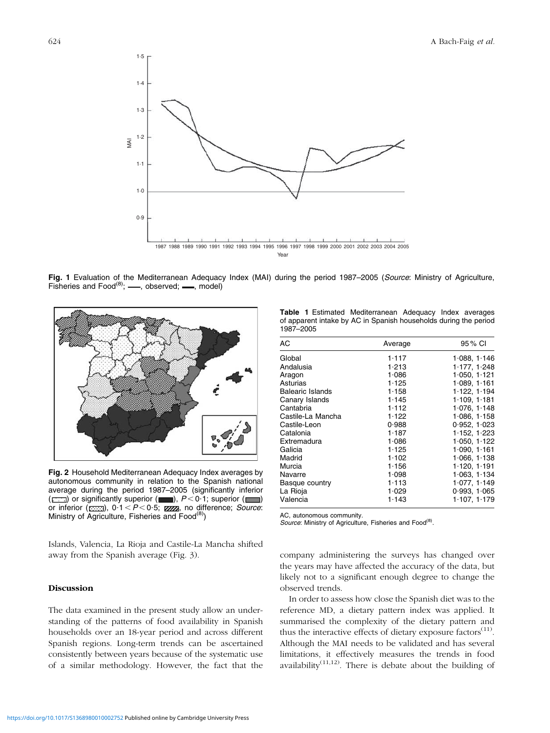

Fig. 1 Evaluation of the Mediterranean Adequacy Index (MAI) during the period 1987-2005 (Source: Ministry of Agriculture, Fisheries and  $Food^{(8)}$ ;  $\_\_\_\_$ , observed;  $\_\_\_\_\$ , model)



Fig. 2 Household Mediterranean Adequacy Index averages by autonomous community in relation to the Spanish national average during the period 1987–2005 (significantly inferior ( $\Box$ ) or significantly superior ( $\Box$ ),  $P < 0.1$ ; superior ( $\Box$ ) or inferior ( $\frac{1}{2}$ , 0.1 < P < 0.5;  $\frac{1}{2}$ , no difference; *Source*: Ministry of Agriculture, Fisheries and Food<sup>(8)</sup>)

Islands, Valencia, La Rioja and Castile-La Mancha shifted away from the Spanish average (Fig. 3).

#### Discussion

The data examined in the present study allow an understanding of the patterns of food availability in Spanish households over an 18-year period and across different Spanish regions. Long-term trends can be ascertained consistently between years because of the systematic use of a similar methodology. However, the fact that the

Table 1 Estimated Mediterranean Adequacy Index averages of apparent intake by AC in Spanish households during the period 1987–2005

| AС                      | Average | 95 % CI      |
|-------------------------|---------|--------------|
| Global                  | 1.117   | 1 088, 1 146 |
| Andalusia               | 1.213   | 1.177, 1.248 |
| Aragon                  | 1.086   | 1.050, 1.121 |
| Asturias                | 1.125   | 1.089, 1.161 |
| <b>Balearic Islands</b> | 1.158   | 1.122, 1.194 |
| Canary Islands          | 1.145   | 1.109.1181   |
| Cantabria               | 1.112   | 1.076, 1.148 |
| Castile-La Mancha       | 1.122   | 1.086, 1.158 |
| Castile-Leon            | 0.988   | 0.952, 1.023 |
| Catalonia               | 1.187   | 1.152, 1.223 |
| Extremadura             | 1.086   | 1.050, 1.122 |
| Galicia                 | 1.125   | 1.090, 1.161 |
| Madrid                  | 1.102   | 1.066, 1.138 |
| Murcia                  | 1.156   | 1.120, 1.191 |
| Navarre                 | 1.098   | 1.063, 1.134 |
| Basque country          | 1.113   | 1.077, 1.149 |
| La Rioja                | 1.029   | 0.993, 1.065 |
| Valencia                | 1.143   | 1·107, 1·179 |

AC, autonomous community.

Source: Ministry of Agriculture, Fisheries and Food<sup>(8)</sup>.

company administering the surveys has changed over the years may have affected the accuracy of the data, but likely not to a significant enough degree to change the observed trends.

In order to assess how close the Spanish diet was to the reference MD, a dietary pattern index was applied. It summarised the complexity of the dietary pattern and thus the interactive effects of dietary exposure factors $(11)$ . Although the MAI needs to be validated and has several limitations, it effectively measures the trends in food availability<sup> $(11,12)$ </sup>. There is debate about the building of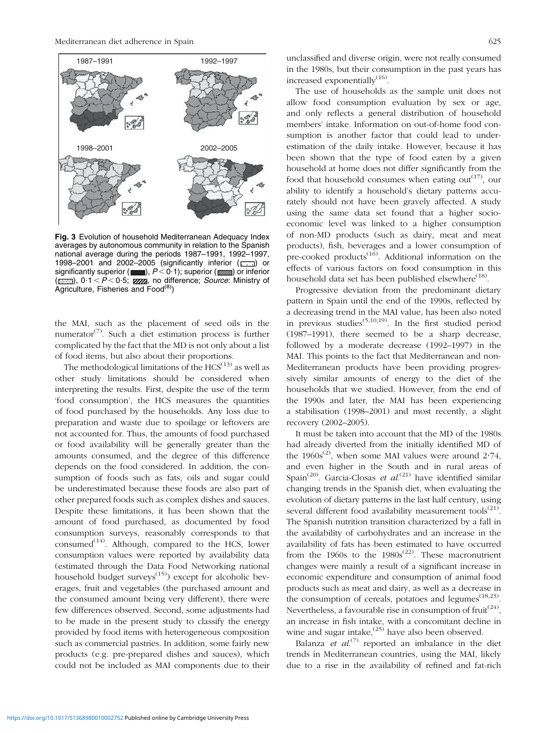

Fig. 3 Evolution of household Mediterranean Adequacy Index averages by autonomous community in relation to the Spanish national average during the periods 1987–1991, 1992–1997, 1998–2001 and 2002–2005 (significantly inferior ( $\Box$ ) or significantly superior ( $\Box$ ),  $P < 0.1$ ); superior ( $\Box$ ) or inferior  $(\overline{c}$ , 0.1 < P < 0.5; **zzza**, no difference; *Source*: Ministry of Agriculture, Fisheries and Food<sup>(8)</sup>)

the MAI, such as the placement of seed oils in the numerator<sup>(7)</sup>. Such a diet estimation process is further complicated by the fact that the MD is not only about a list of food items, but also about their proportions.

The methodological limitations of the  $HCS^{(13)}$  as well as other study limitations should be considered when interpreting the results. First, despite the use of the term 'food consumption', the HCS measures the quantities of food purchased by the households. Any loss due to preparation and waste due to spoilage or leftovers are not accounted for. Thus, the amounts of food purchased or food availability will be generally greater than the amounts consumed, and the degree of this difference depends on the food considered. In addition, the consumption of foods such as fats, oils and sugar could be underestimated because these foods are also part of other prepared foods such as complex dishes and sauces. Despite these limitations, it has been shown that the amount of food purchased, as documented by food consumption surveys, reasonably corresponds to that  $\text{cosumed}^{(14)}$ . Although, compared to the HCS, lower consumption values were reported by availability data (estimated through the Data Food Networking national household budget surveys<sup>(15)</sup>) except for alcoholic beverages, fruit and vegetables (the purchased amount and the consumed amount being very different), there were few differences observed. Second, some adjustments had to be made in the present study to classify the energy provided by food items with heterogeneous composition such as commercial pastries. In addition, some fairly new products (e.g. pre-prepared dishes and sauces), which could not be included as MAI components due to their unclassified and diverse origin, were not really consumed in the 1980s, but their consumption in the past years has increased exponentially<sup>(16)</sup>.

The use of households as the sample unit does not allow food consumption evaluation by sex or age, and only reflects a general distribution of household members' intake. Information on out-of-home food consumption is another factor that could lead to underestimation of the daily intake. However, because it has been shown that the type of food eaten by a given household at home does not differ significantly from the food that household consumes when eating out<sup> $(17)$ </sup>, our ability to identify a household's dietary patterns accurately should not have been gravely affected. A study using the same data set found that a higher socioeconomic level was linked to a higher consumption of non-MD products (such as dairy, meat and meat products), fish, beverages and a lower consumption of pre-cooked products<sup> $(16)$ </sup>. Additional information on the effects of various factors on food consumption in this household data set has been published elsewhere<sup> $(18)$ </sup>.

Progressive deviation from the predominant dietary pattern in Spain until the end of the 1990s, reflected by a decreasing trend in the MAI value, has been also noted in previous studies<sup>(5,10,19)</sup>. In the first studied period (1987–1991), there seemed to be a sharp decrease, followed by a moderate decrease (1992–1997) in the MAI. This points to the fact that Mediterranean and non-Mediterranean products have been providing progressively similar amounts of energy to the diet of the households that we studied. However, from the end of the 1990s and later, the MAI has been experiencing a stabilisation (1998–2001) and most recently, a slight recovery (2002–2005).

It must be taken into account that the MD of the 1980s had already diverted from the initially identified MD of the 1960s<sup>(2)</sup>, when some MAI values were around 2.74, and even higher in the South and in rural areas of Spain<sup>(20)</sup>. Garcia-Closas et al.<sup>(21)</sup> have identified similar changing trends in the Spanish diet, when evaluating the evolution of dietary patterns in the last half century, using several different food availability measurement tools<sup> $(21)$ </sup>. The Spanish nutrition transition characterized by a fall in the availability of carbohydrates and an increase in the availability of fats has been estimated to have occurred from the 1960s to the  $1980s^{(22)}$ . These macronutrient changes were mainly a result of a significant increase in economic expenditure and consumption of animal food products such as meat and dairy, as well as a decrease in the consumption of cereals, potatoes and legumes<sup> $(18,23)$ </sup>. Nevertheless, a favourable rise in consumption of fruit<sup>(24)</sup>. an increase in fish intake, with a concomitant decline in wine and sugar intake, $(25)$  have also been observed.

Balanza et  $al^{(7)}$  reported an imbalance in the diet trends in Mediterranean countries, using the MAI, likely due to a rise in the availability of refined and fat-rich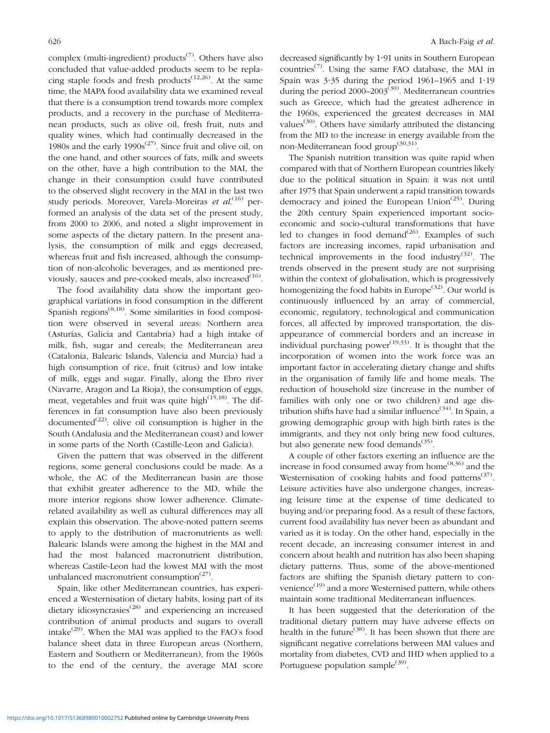complex (multi-ingredient) products<sup> $(7)$ </sup>. Others have also concluded that value-added products seem to be replacing staple foods and fresh products<sup> $(12,26)$ </sup>. At the same time, the MAPA food availability data we examined reveal that there is a consumption trend towards more complex products, and a recovery in the purchase of Mediterranean products, such as olive oil, fresh fruit, nuts and quality wines, which had continually decreased in the 1980s and the early  $1990s^{(27)}$ . Since fruit and olive oil, on the one hand, and other sources of fats, milk and sweets on the other, have a high contribution to the MAI, the change in their consumption could have contributed to the observed slight recovery in the MAI in the last two study periods. Moreover, Varela-Moreiras *et al*.<sup>(16)</sup> performed an analysis of the data set of the present study, from 2000 to 2006, and noted a slight improvement in some aspects of the dietary pattern. In the present analysis, the consumption of milk and eggs decreased, whereas fruit and fish increased, although the consumption of non-alcoholic beverages, and as mentioned previously, sauces and pre-cooked meals, also increased $(16)$ .

The food availability data show the important geographical variations in food consumption in the different Spanish regions<sup>(8,18)</sup>. Some similarities in food composition were observed in several areas: Northern area (Asturias, Galicia and Cantabria) had a high intake of milk, fish, sugar and cereals; the Mediterranean area (Catalonia, Balearic Islands, Valencia and Murcia) had a high consumption of rice, fruit (citrus) and low intake of milk, eggs and sugar. Finally, along the Ebro river (Navarre, Aragon and La Rioja), the consumption of eggs, meat, vegetables and fruit was quite high $(15,18)$ . The differences in fat consumption have also been previously documented<sup>(22)</sup>: olive oil consumption is higher in the South (Andalusia and the Mediterranean coast) and lower in some parts of the North (Castille-Leon and Galicia).

Given the pattern that was observed in the different regions, some general conclusions could be made. As a whole, the AC of the Mediterranean basin are those that exhibit greater adherence to the MD, while the more interior regions show lower adherence. Climaterelated availability as well as cultural differences may all explain this observation. The above-noted pattern seems to apply to the distribution of macronutrients as well: Balearic Islands were among the highest in the MAI and had the most balanced macronutrient distribution, whereas Castile-Leon had the lowest MAI with the most unbalanced macronutrient consumption $(27)$ .

Spain, like other Mediterranean countries, has experienced a Westernisation of dietary habits, losing part of its dietary idiosyncrasies<sup> $(28)$ </sup> and experiencing an increased contribution of animal products and sugars to overall intake<sup>(29)</sup>. When the MAI was applied to the FAO's food balance sheet data in three European areas (Northern, Eastern and Southern or Mediterranean), from the 1960s to the end of the century, the average MAI score decreased significantly by 1?91 units in Southern European countries<sup> $(7)$ </sup>. Using the same FAO database, the MAI in Spain was  $3.35$  during the period 1961–1965 and 1.19 during the period  $2000-2003^{(30)}$ . Mediterranean countries such as Greece, which had the greatest adherence in the 1960s, experienced the greatest decreases in MAI values<sup>(30)</sup>. Others have similarly attributed the distancing from the MD to the increase in energy available from the non-Mediterranean food group<sup>(30,31)</sup>.

The Spanish nutrition transition was quite rapid when compared with that of Northern European countries likely due to the political situation in Spain: it was not until after 1975 that Spain underwent a rapid transition towards democracy and joined the European Union<sup> $(25)$ </sup>. During the 20th century Spain experienced important socioeconomic and socio-cultural transformations that have led to changes in food demand $(26)$ . Examples of such factors are increasing incomes, rapid urbanisation and technical improvements in the food industry $(32)$ . The trends observed in the present study are not surprising within the context of globalisation, which is progressively homogenizing the food habits in Europe<sup> $(32)$ </sup>. Our world is continuously influenced by an array of commercial, economic, regulatory, technological and communication forces, all affected by improved transportation, the disappearance of commercial borders and an increase in individual purchasing power<sup> $(19,33)$ </sup>. It is thought that the incorporation of women into the work force was an important factor in accelerating dietary change and shifts in the organisation of family life and home meals. The reduction of household size (increase in the number of families with only one or two children) and age distribution shifts have had a similar influence  $(34)$ . In Spain, a growing demographic group with high birth rates is the immigrants, and they not only bring new food cultures, but also generate new food demands<sup>(35)</sup>.

A couple of other factors exerting an influence are the increase in food consumed away from home<sup> $(8,36)$ </sup> and the Westernisation of cooking habits and food patterns<sup> $(37)$ </sup>. Leisure activities have also undergone changes, increasing leisure time at the expense of time dedicated to buying and/or preparing food. As a result of these factors, current food availability has never been as abundant and varied as it is today. On the other hand, especially in the recent decade, an increasing consumer interest in and concern about health and nutrition has also been shaping dietary patterns. Thus, some of the above-mentioned factors are shifting the Spanish dietary pattern to convenience<sup>(19)</sup> and a more Westernised pattern, while others maintain some traditional Mediterranean influences.

It has been suggested that the deterioration of the traditional dietary pattern may have adverse effects on health in the future<sup>(38)</sup>. It has been shown that there are significant negative correlations between MAI values and mortality from diabetes, CVD and IHD when applied to a Portuguese population sample $(39)$ .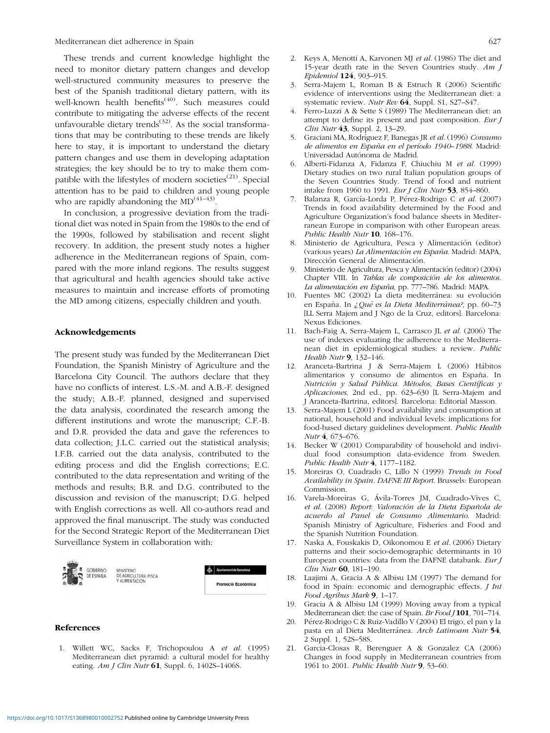These trends and current knowledge highlight the need to monitor dietary pattern changes and develop well-structured community measures to preserve the best of the Spanish traditional dietary pattern, with its well-known health benefits<sup>(40)</sup>. Such measures could contribute to mitigating the adverse effects of the recent unfavourable dietary trends<sup> $(32)$ </sup>. As the social transformations that may be contributing to these trends are likely here to stay, it is important to understand the dietary pattern changes and use them in developing adaptation strategies; the key should be to try to make them compatible with the lifestyles of modern societies<sup> $(21)$ </sup>. Special attention has to be paid to children and young people who are rapidly abandoning the  $MD^{(41-43)}$ .

In conclusion, a progressive deviation from the traditional diet was noted in Spain from the 1980s to the end of the 1990s, followed by stabilisation and recent slight recovery. In addition, the present study notes a higher adherence in the Mediterranean regions of Spain, compared with the more inland regions. The results suggest that agricultural and health agencies should take active measures to maintain and increase efforts of promoting the MD among citizens, especially children and youth.

#### Acknowledgements

The present study was funded by the Mediterranean Diet Foundation, the Spanish Ministry of Agriculture and the Barcelona City Council. The authors declare that they have no conflicts of interest. L.S.-M. and A.B.-F. designed the study; A.B.-F. planned, designed and supervised the data analysis, coordinated the research among the different institutions and wrote the manuscript; C.F.-B. and D.R. provided the data and gave the references to data collection; J.L.C. carried out the statistical analysis; I.F.B. carried out the data analysis, contributed to the editing process and did the English corrections; E.C. contributed to the data representation and writing of the methods and results; B.R. and D.G. contributed to the discussion and revision of the manuscript; D.G. helped with English corrections as well. All co-authors read and approved the final manuscript. The study was conducted for the Second Strategic Report of the Mediterranean Diet Surveillance System in collaboration with:



#### References

1. Willett WC, Sacks F, Trichopoulou A et al. (1995) Mediterranean diet pyramid: a cultural model for healthy eating.  $Am J Clin Nutr$  61, Suppl. 6, 1402S-1406S.

- 2. Keys A, Menotti A, Karvonen MJ et al. (1986) The diet and 15-year death rate in the Seven Countries study.  $Am J$ Epidemiol 124, 903–915.
- 3. Serra-Majem L, Roman B & Estruch R (2006) Scientific evidence of interventions using the Mediterranean diet: a systematic review. Nutr Rev 64, Suppl. S1, S27–S47.
- 4. Ferro-Luzzi A & Sette S (1989) The Mediterranean diet: an attempt to define its present and past composition. Eur J Clin Nutr 43, Suppl. 2, 13–29.
- 5. Graciani MA, Rodríguez F, Banegas JR et al. (1996) Consumo de alimentos en España en el período 1940-1988. Madrid: Universidad Autónoma de Madrid.
- 6. Alberti-Fidanza A, Fidanza F, Chiuchiu M et al. (1999) Dietary studies on two rural Italian population groups of the Seven Countries Study. Trend of food and nutrient intake from 1960 to 1991. Eur J Clin Nutr 53, 854-860.
- 7. Balanza R, García-Lorda P, Pérez-Rodrigo C et al. (2007) Trends in food availability determined by the Food and Agriculture Organization's food balance sheets in Mediterranean Europe in comparison with other European areas. Public Health Nutr 10, 168-176.
- 8. Ministerio de Agricultura, Pesca y Alimentación (editor) (various years) La Alimentación en España. Madrid: MAPA, Dirección General de Alimentación.
- 9. Ministerio de Agricultura, Pesca y Alimentación (editor) (2004) Chapter VIII. In Tablas de composición de los alimentos. La alimentación en España, pp. 777-786. Madrid: MAPA.
- Fuentes MC (2002) La dieta mediterránea: su evolución en España. In ¿Qué es la Dieta Mediterránea?, pp. 60–73 [LL Serra Majem and J Ngo de la Cruz, editors]. Barcelona: Nexus Ediciones.
- 11. Bach-Faig A, Serra-Majem L, Carrasco JL et al. (2006) The use of indexes evaluating the adherence to the Mediterranean diet in epidemiological studies: a review. Public Health Nutr 9, 132-146.
- 12. Aranceta-Bartrina J & Serra-Majem L (2006) Hábitos alimentarios y consumo de alimentos en España. In Nutrición y Salud Pública. Métodos, Bases Científicas y Aplicaciones, 2nd ed., pp. 623–630 [L Serra-Majem and J Aranceta-Bartrina, editors]. Barcelona: Editorial Masson.
- 13. Serra-Majem L (2001) Food availability and consumption at national, household and individual levels: implications for food-based dietary guidelines development. Public Health Nutr 4, 673–676.
- 14. Becker W (2001) Comparability of household and individual food consumption data-evidence from Sweden. Public Health Nutr 4, 1177–1182.
- 15. Moreiras O, Cuadrado C, Lillo N (1999) Trends in Food Availability in Spain. DAFNE III Report. Brussels: European Commission.
- 16. Varela-Moreiras G, Ávila-Torres JM, Cuadrado-Vives C, et al. (2008) Report: Valoración de la Dieta Española de acuerdo al Panel de Consumo Alimentario. Madrid: Spanish Ministry of Agriculture, Fisheries and Food and the Spanish Nutrition Foundation.
- 17. Naska A, Fouskakis D, Oikonomou E et al. (2006) Dietary patterns and their socio-demographic determinants in 10 European countries: data from the DAFNE databank. Eur J Clin Nutr 60, 181–190.
- 18. Laajimi A, Gracia A & Albisu LM (1997) The demand for food in Spain: economic and demographic effects. J Int Food Agribus Mark 9, 1–17.
- 19. Gracia A & Albisu LM (1999) Moving away from a typical Mediterranean diet: the case of Spain. Br Food J 101, 701-714.
- 20. Pérez-Rodrigo C & Ruiz-Vadillo V (2004) El trigo, el pan y la pasta en al Dieta Mediterránea. Arch Latinoam Nutr 54, 2 Suppl. 1, 52S–58S.
- 21. Garcia-Closas R, Berenguer A & Gonzalez CA (2006) Changes in food supply in Mediterranean countries from 1961 to 2001. Public Health Nutr 9, 53-60.